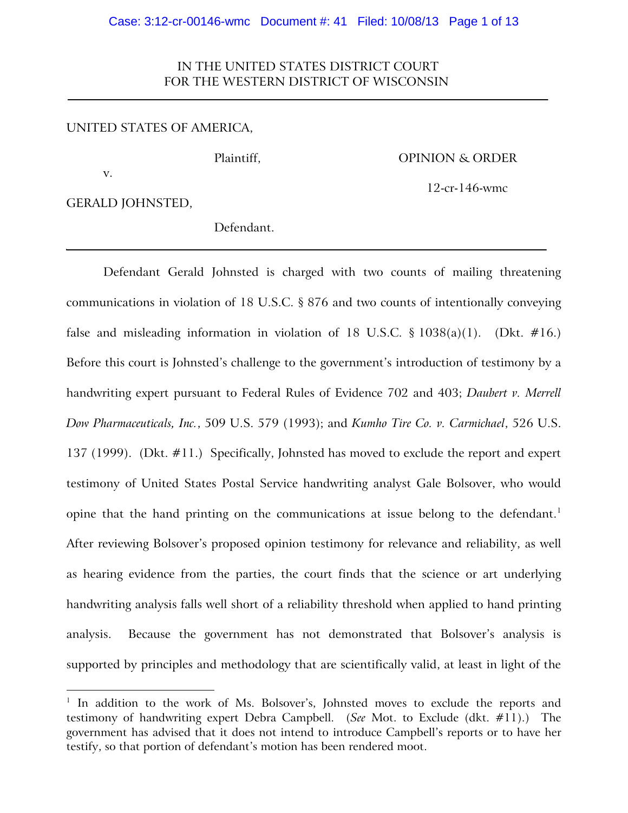# IN THE UNITED STATES DISTRICT COURT FOR THE WESTERN DISTRICT OF WISCONSIN

## UNITED STATES OF AMERICA,

## Plaintiff, Department of the OPINION & ORDER

GERALD JOHNSTED,

v.

 $\overline{a}$ 

12-cr-146-wmc

Defendant.

Defendant Gerald Johnsted is charged with two counts of mailing threatening communications in violation of 18 U.S.C. § 876 and two counts of intentionally conveying false and misleading information in violation of 18 U.S.C.  $\S$  1038(a)(1). (Dkt. #16.) Before this court is Johnsted's challenge to the government's introduction of testimony by a handwriting expert pursuant to Federal Rules of Evidence 702 and 403; *Daubert v. Merrell Dow Pharmaceuticals, Inc.*, 509 U.S. 579 (1993); and *Kumho Tire Co. v. Carmichael*, 526 U.S. 137 (1999). (Dkt. #11.) Specifically, Johnsted has moved to exclude the report and expert testimony of United States Postal Service handwriting analyst Gale Bolsover, who would opine that the hand printing on the communications at issue belong to the defendant.<sup>1</sup> After reviewing Bolsover's proposed opinion testimony for relevance and reliability, as well as hearing evidence from the parties, the court finds that the science or art underlying handwriting analysis falls well short of a reliability threshold when applied to hand printing analysis. Because the government has not demonstrated that Bolsover's analysis is supported by principles and methodology that are scientifically valid, at least in light of the

<sup>&</sup>lt;sup>1</sup> In addition to the work of Ms. Bolsover's, Johnsted moves to exclude the reports and testimony of handwriting expert Debra Campbell. (*See* Mot. to Exclude (dkt. #11).) The government has advised that it does not intend to introduce Campbell's reports or to have her testify, so that portion of defendant's motion has been rendered moot.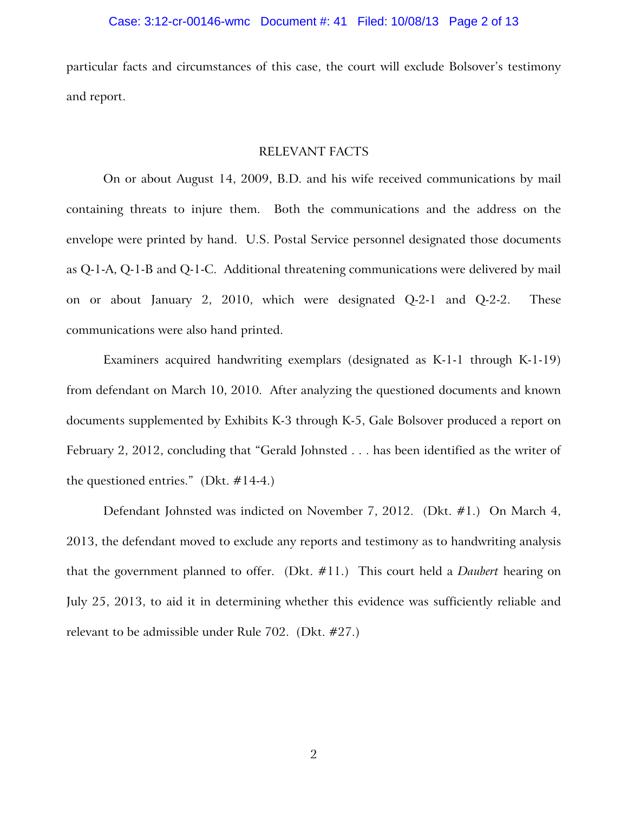particular facts and circumstances of this case, the court will exclude Bolsover's testimony and report.

## RELEVANT FACTS

On or about August 14, 2009, B.D. and his wife received communications by mail containing threats to injure them. Both the communications and the address on the envelope were printed by hand. U.S. Postal Service personnel designated those documents as Q-1-A, Q-1-B and Q-1-C. Additional threatening communications were delivered by mail on or about January 2, 2010, which were designated Q-2-1 and Q-2-2. These communications were also hand printed.

Examiners acquired handwriting exemplars (designated as K-1-1 through K-1-19) from defendant on March 10, 2010. After analyzing the questioned documents and known documents supplemented by Exhibits K-3 through K-5, Gale Bolsover produced a report on February 2, 2012, concluding that "Gerald Johnsted . . . has been identified as the writer of the questioned entries." (Dkt.  $\#14-4$ .)

Defendant Johnsted was indicted on November 7, 2012. (Dkt. #1.) On March 4, 2013, the defendant moved to exclude any reports and testimony as to handwriting analysis that the government planned to offer. (Dkt. #11.) This court held a *Daubert* hearing on July 25, 2013, to aid it in determining whether this evidence was sufficiently reliable and relevant to be admissible under Rule 702. (Dkt. #27.)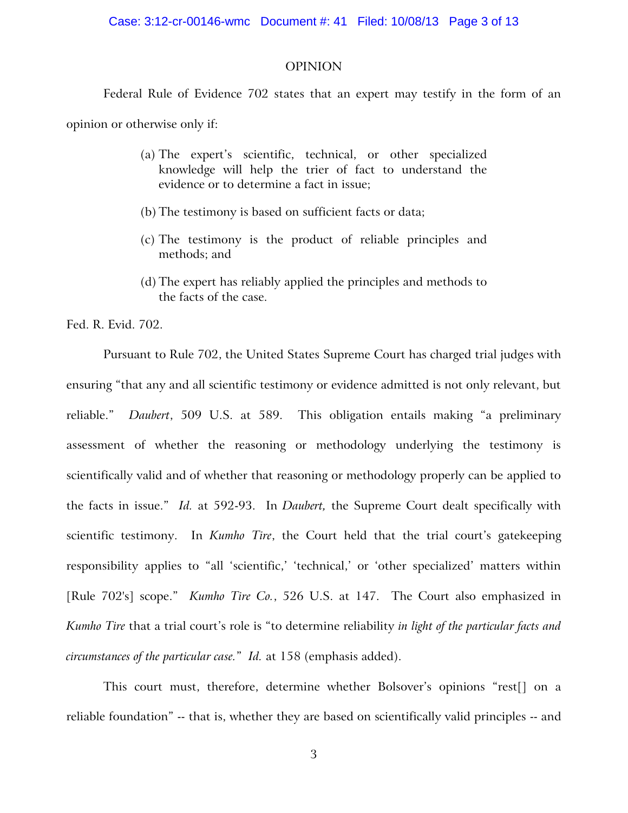## OPINION

Federal Rule of Evidence 702 states that an expert may testify in the form of an

opinion or otherwise only if:

- (a) The expert's scientific, technical, or other specialized knowledge will help the trier of fact to understand the evidence or to determine a fact in issue;
- (b) The testimony is based on sufficient facts or data;
- (c) The testimony is the product of reliable principles and methods; and
- (d) The expert has reliably applied the principles and methods to the facts of the case.

Fed. R. Evid. 702.

Pursuant to Rule 702, the United States Supreme Court has charged trial judges with ensuring "that any and all scientific testimony or evidence admitted is not only relevant, but reliable." *Daubert*, 509 U.S. at 589. This obligation entails making "a preliminary assessment of whether the reasoning or methodology underlying the testimony is scientifically valid and of whether that reasoning or methodology properly can be applied to the facts in issue." *Id.* at 592-93. In *Daubert,* the Supreme Court dealt specifically with scientific testimony. In *Kumho Tire*, the Court held that the trial court's gatekeeping responsibility applies to "all 'scientific,' 'technical,' or 'other specialized' matters within [Rule 702's] scope." *Kumho Tire Co.*, 526 U.S. at 147. The Court also emphasized in *Kumho Tire* that a trial court's role is "to determine reliability *in light of the particular facts and circumstances of the particular case.*" *Id.* at 158 (emphasis added).

This court must, therefore, determine whether Bolsover's opinions "rest[] on a reliable foundation" -- that is, whether they are based on scientifically valid principles -- and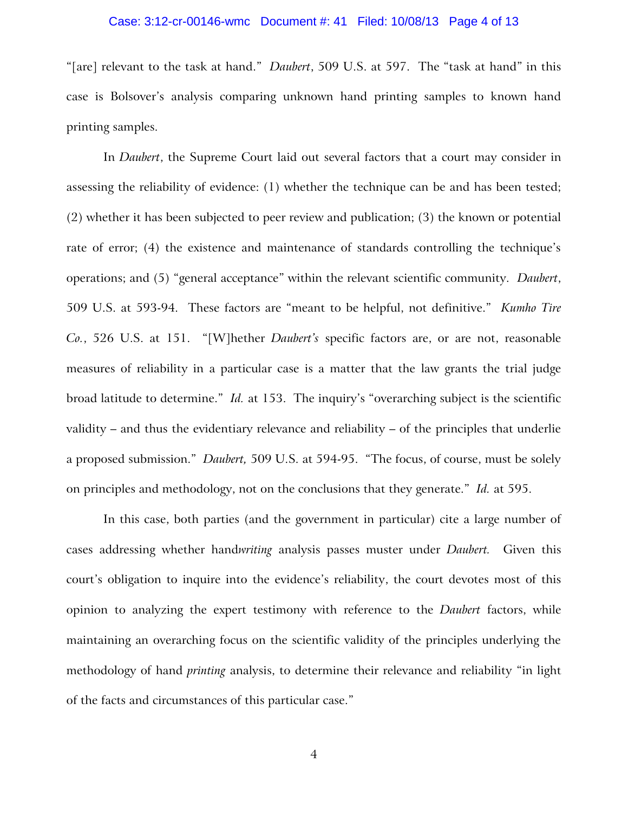#### Case: 3:12-cr-00146-wmc Document #: 41 Filed: 10/08/13 Page 4 of 13

"[are] relevant to the task at hand." *Daubert*, 509 U.S. at 597. The "task at hand" in this case is Bolsover's analysis comparing unknown hand printing samples to known hand printing samples.

In *Daubert*, the Supreme Court laid out several factors that a court may consider in assessing the reliability of evidence: (1) whether the technique can be and has been tested; (2) whether it has been subjected to peer review and publication; (3) the known or potential rate of error; (4) the existence and maintenance of standards controlling the technique's operations; and (5) "general acceptance" within the relevant scientific community. *Daubert*, 509 U.S. at 593-94. These factors are "meant to be helpful, not definitive." *Kumho Tire Co.*, 526 U.S. at 151. "[W]hether *Daubert's* specific factors are, or are not, reasonable measures of reliability in a particular case is a matter that the law grants the trial judge broad latitude to determine." *Id.* at 153. The inquiry's "overarching subject is the scientific validity – and thus the evidentiary relevance and reliability – of the principles that underlie a proposed submission." *Daubert,* 509 U.S. at 594-95. "The focus, of course, must be solely on principles and methodology, not on the conclusions that they generate." *Id.* at 595.

In this case, both parties (and the government in particular) cite a large number of cases addressing whether hand*writing* analysis passes muster under *Daubert.* Given this court's obligation to inquire into the evidence's reliability, the court devotes most of this opinion to analyzing the expert testimony with reference to the *Daubert* factors, while maintaining an overarching focus on the scientific validity of the principles underlying the methodology of hand *printing* analysis, to determine their relevance and reliability "in light of the facts and circumstances of this particular case."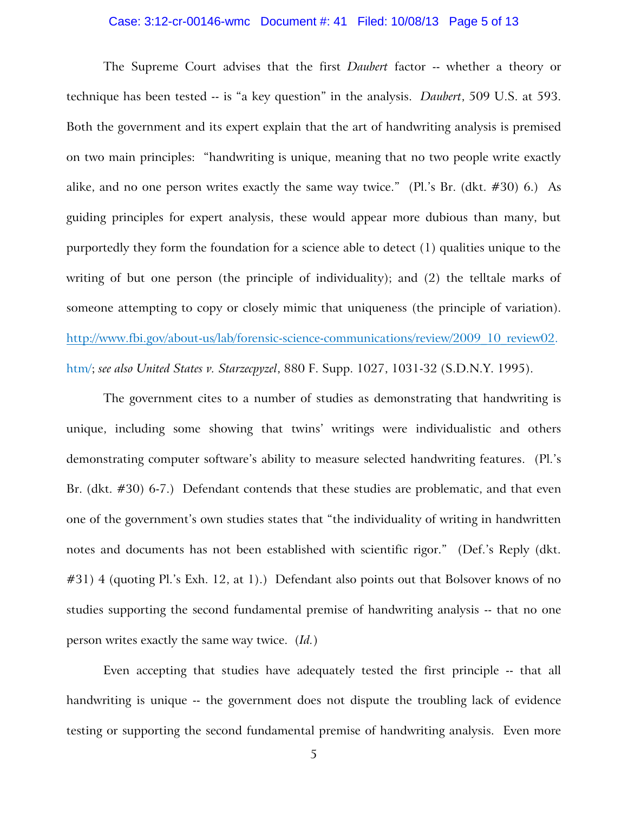#### Case: 3:12-cr-00146-wmc Document #: 41 Filed: 10/08/13 Page 5 of 13

The Supreme Court advises that the first *Daubert* factor -- whether a theory or technique has been tested -- is "a key question" in the analysis. *Daubert*, 509 U.S. at 593. Both the government and its expert explain that the art of handwriting analysis is premised on two main principles: "handwriting is unique, meaning that no two people write exactly alike, and no one person writes exactly the same way twice." (Pl.'s Br. (dkt.  $\#30$ ) 6.) As guiding principles for expert analysis, these would appear more dubious than many, but purportedly they form the foundation for a science able to detect (1) qualities unique to the writing of but one person (the principle of individuality); and (2) the telltale marks of someone attempting to copy or closely mimic that uniqueness (the principle of variation). [http://www.fbi.gov/about-us/lab/forensic-science-communications/review/2009\\_10\\_review02.](http://www.fbi.gov/about-us/lab/forensic-science-communications/review/2009_10_review02) htm/; *see also United States v. Starzecpyzel*, 880 F. Supp. 1027, 1031-32 (S.D.N.Y. 1995).

The government cites to a number of studies as demonstrating that handwriting is unique, including some showing that twins' writings were individualistic and others demonstrating computer software's ability to measure selected handwriting features. (Pl.'s Br. (dkt. #30) 6-7.) Defendant contends that these studies are problematic, and that even one of the government's own studies states that "the individuality of writing in handwritten notes and documents has not been established with scientific rigor." (Def.'s Reply (dkt. #31) 4 (quoting Pl.'s Exh. 12, at 1).) Defendant also points out that Bolsover knows of no studies supporting the second fundamental premise of handwriting analysis -- that no one person writes exactly the same way twice. (*Id.*)

Even accepting that studies have adequately tested the first principle -- that all handwriting is unique -- the government does not dispute the troubling lack of evidence testing or supporting the second fundamental premise of handwriting analysis. Even more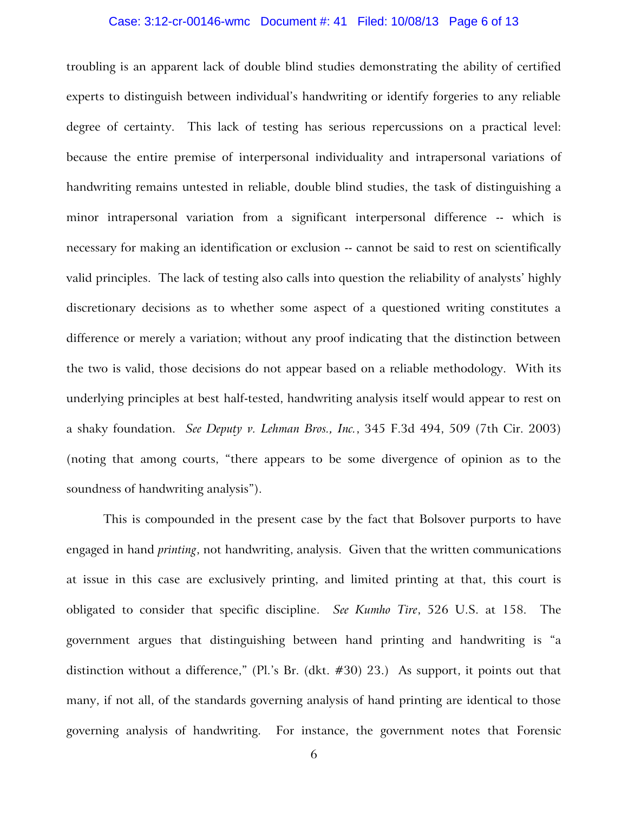#### Case: 3:12-cr-00146-wmc Document #: 41 Filed: 10/08/13 Page 6 of 13

troubling is an apparent lack of double blind studies demonstrating the ability of certified experts to distinguish between individual's handwriting or identify forgeries to any reliable degree of certainty. This lack of testing has serious repercussions on a practical level: because the entire premise of interpersonal individuality and intrapersonal variations of handwriting remains untested in reliable, double blind studies, the task of distinguishing a minor intrapersonal variation from a significant interpersonal difference -- which is necessary for making an identification or exclusion -- cannot be said to rest on scientifically valid principles. The lack of testing also calls into question the reliability of analysts' highly discretionary decisions as to whether some aspect of a questioned writing constitutes a difference or merely a variation; without any proof indicating that the distinction between the two is valid, those decisions do not appear based on a reliable methodology. With its underlying principles at best half-tested, handwriting analysis itself would appear to rest on a shaky foundation. *See Deputy v. Lehman Bros., Inc.*, 345 F.3d 494, 509 (7th Cir. 2003) (noting that among courts, "there appears to be some divergence of opinion as to the soundness of handwriting analysis").

This is compounded in the present case by the fact that Bolsover purports to have engaged in hand *printing*, not handwriting, analysis. Given that the written communications at issue in this case are exclusively printing, and limited printing at that, this court is obligated to consider that specific discipline. *See Kumho Tire*, 526 U.S. at 158. The government argues that distinguishing between hand printing and handwriting is "a distinction without a difference," (Pl.'s Br. (dkt. #30) 23.) As support, it points out that many, if not all, of the standards governing analysis of hand printing are identical to those governing analysis of handwriting. For instance, the government notes that Forensic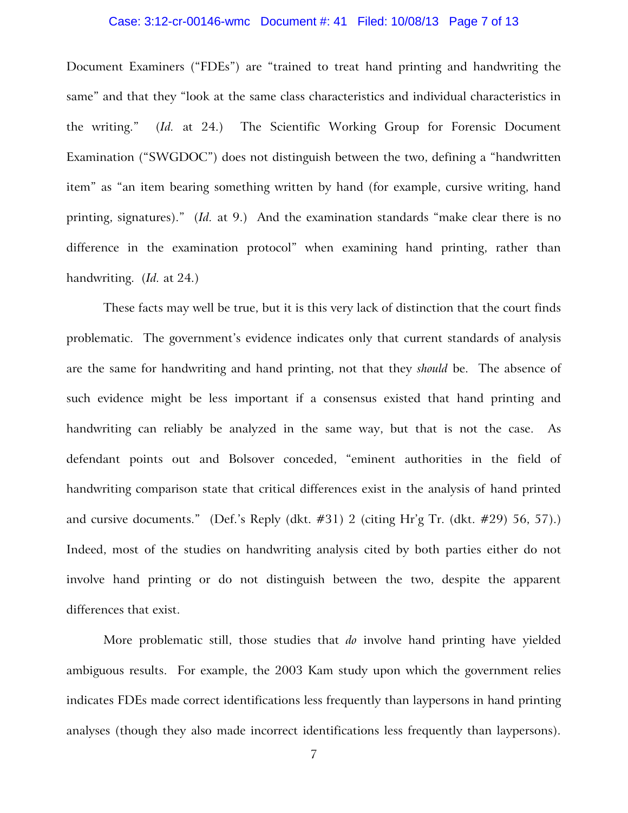#### Case: 3:12-cr-00146-wmc Document #: 41 Filed: 10/08/13 Page 7 of 13

Document Examiners ("FDEs") are "trained to treat hand printing and handwriting the same" and that they "look at the same class characteristics and individual characteristics in the writing." (*Id.* at 24.) The Scientific Working Group for Forensic Document Examination ("SWGDOC") does not distinguish between the two, defining a "handwritten item" as "an item bearing something written by hand (for example, cursive writing, hand printing, signatures)." (*Id.* at 9.) And the examination standards "make clear there is no difference in the examination protocol" when examining hand printing, rather than handwriting. (*Id.* at 24.)

These facts may well be true, but it is this very lack of distinction that the court finds problematic. The government's evidence indicates only that current standards of analysis are the same for handwriting and hand printing, not that they *should* be. The absence of such evidence might be less important if a consensus existed that hand printing and handwriting can reliably be analyzed in the same way, but that is not the case. As defendant points out and Bolsover conceded, "eminent authorities in the field of handwriting comparison state that critical differences exist in the analysis of hand printed and cursive documents." (Def.'s Reply (dkt. #31) 2 (citing Hr'g Tr. (dkt. #29) 56, 57).) Indeed, most of the studies on handwriting analysis cited by both parties either do not involve hand printing or do not distinguish between the two, despite the apparent differences that exist.

More problematic still, those studies that *do* involve hand printing have yielded ambiguous results. For example, the 2003 Kam study upon which the government relies indicates FDEs made correct identifications less frequently than laypersons in hand printing analyses (though they also made incorrect identifications less frequently than laypersons).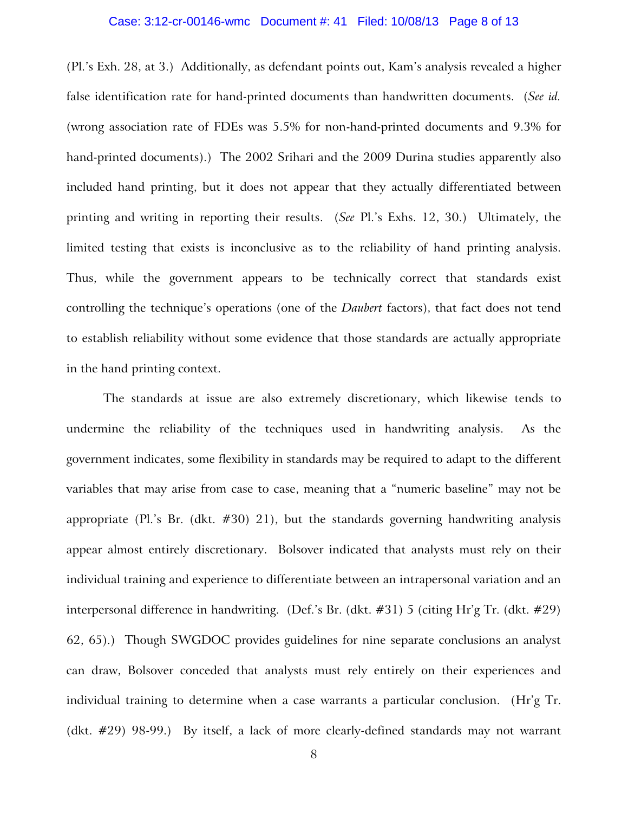#### Case: 3:12-cr-00146-wmc Document #: 41 Filed: 10/08/13 Page 8 of 13

(Pl.'s Exh. 28, at 3.) Additionally, as defendant points out, Kam's analysis revealed a higher false identification rate for hand-printed documents than handwritten documents. (*See id.* (wrong association rate of FDEs was 5.5% for non-hand-printed documents and 9.3% for hand-printed documents).) The 2002 Srihari and the 2009 Durina studies apparently also included hand printing, but it does not appear that they actually differentiated between printing and writing in reporting their results. (*See* Pl.'s Exhs. 12, 30.) Ultimately, the limited testing that exists is inconclusive as to the reliability of hand printing analysis. Thus, while the government appears to be technically correct that standards exist controlling the technique's operations (one of the *Daubert* factors), that fact does not tend to establish reliability without some evidence that those standards are actually appropriate in the hand printing context.

The standards at issue are also extremely discretionary, which likewise tends to undermine the reliability of the techniques used in handwriting analysis. As the government indicates, some flexibility in standards may be required to adapt to the different variables that may arise from case to case, meaning that a "numeric baseline" may not be appropriate (Pl.'s Br. (dkt.  $\#30$ ) 21), but the standards governing handwriting analysis appear almost entirely discretionary. Bolsover indicated that analysts must rely on their individual training and experience to differentiate between an intrapersonal variation and an interpersonal difference in handwriting. (Def.'s Br. (dkt. #31) 5 (citing Hr'g Tr. (dkt. #29) 62, 65).) Though SWGDOC provides guidelines for nine separate conclusions an analyst can draw, Bolsover conceded that analysts must rely entirely on their experiences and individual training to determine when a case warrants a particular conclusion. (Hr'g Tr. (dkt. #29) 98-99.) By itself, a lack of more clearly-defined standards may not warrant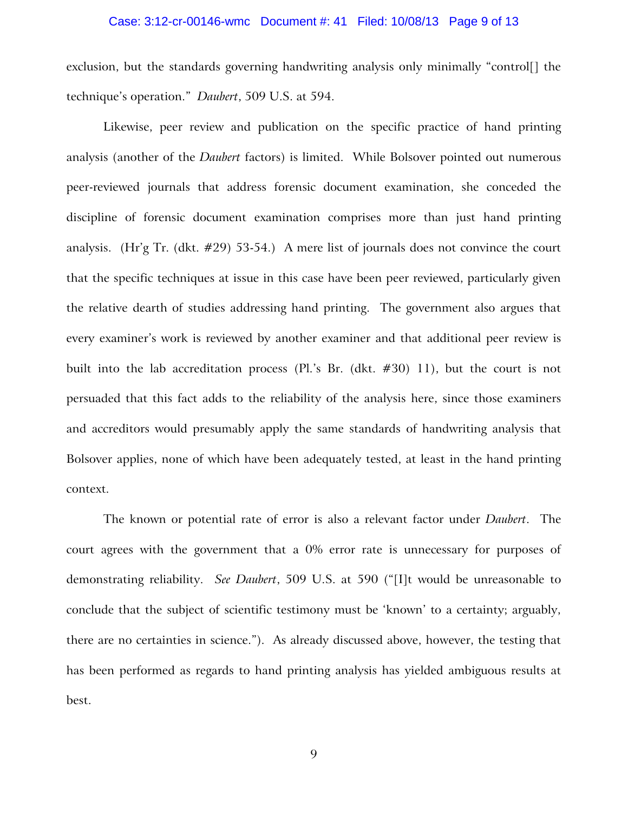#### Case: 3:12-cr-00146-wmc Document #: 41 Filed: 10/08/13 Page 9 of 13

exclusion, but the standards governing handwriting analysis only minimally "control[] the technique's operation." *Daubert*, 509 U.S. at 594.

Likewise, peer review and publication on the specific practice of hand printing analysis (another of the *Daubert* factors) is limited. While Bolsover pointed out numerous peer-reviewed journals that address forensic document examination, she conceded the discipline of forensic document examination comprises more than just hand printing analysis. (Hr'g Tr. (dkt. #29) 53-54.) A mere list of journals does not convince the court that the specific techniques at issue in this case have been peer reviewed, particularly given the relative dearth of studies addressing hand printing. The government also argues that every examiner's work is reviewed by another examiner and that additional peer review is built into the lab accreditation process (Pl.'s Br. (dkt. #30) 11), but the court is not persuaded that this fact adds to the reliability of the analysis here, since those examiners and accreditors would presumably apply the same standards of handwriting analysis that Bolsover applies, none of which have been adequately tested, at least in the hand printing context.

The known or potential rate of error is also a relevant factor under *Daubert*. The court agrees with the government that a 0% error rate is unnecessary for purposes of demonstrating reliability. *See Daubert*, 509 U.S. at 590 ("[I]t would be unreasonable to conclude that the subject of scientific testimony must be 'known' to a certainty; arguably, there are no certainties in science."). As already discussed above, however, the testing that has been performed as regards to hand printing analysis has yielded ambiguous results at best.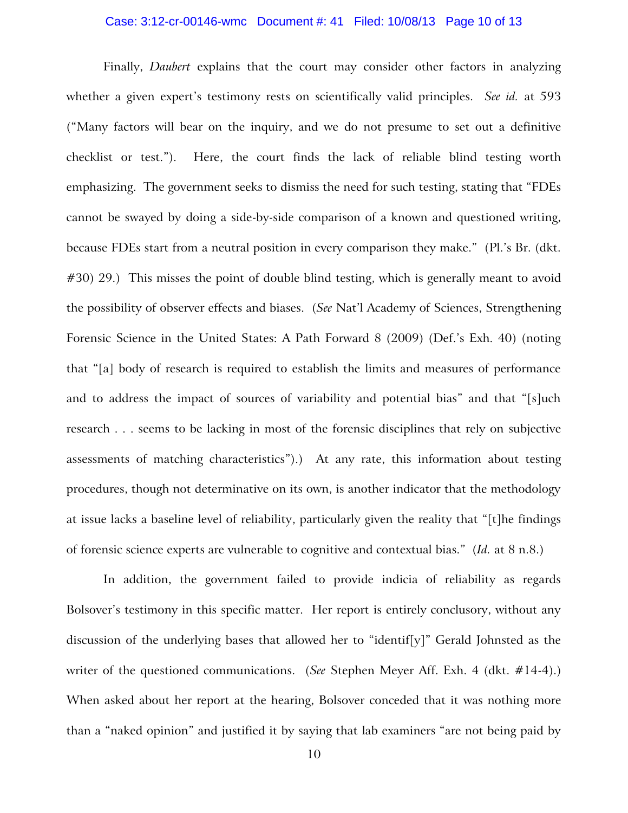#### Case: 3:12-cr-00146-wmc Document #: 41 Filed: 10/08/13 Page 10 of 13

Finally, *Daubert* explains that the court may consider other factors in analyzing whether a given expert's testimony rests on scientifically valid principles. *See id.* at 593 ("Many factors will bear on the inquiry, and we do not presume to set out a definitive checklist or test."). Here, the court finds the lack of reliable blind testing worth emphasizing. The government seeks to dismiss the need for such testing, stating that "FDEs cannot be swayed by doing a side-by-side comparison of a known and questioned writing, because FDEs start from a neutral position in every comparison they make." (Pl.'s Br. (dkt. #30) 29.) This misses the point of double blind testing, which is generally meant to avoid the possibility of observer effects and biases. (*See* Nat'l Academy of Sciences, Strengthening Forensic Science in the United States: A Path Forward 8 (2009) (Def.'s Exh. 40) (noting that "[a] body of research is required to establish the limits and measures of performance and to address the impact of sources of variability and potential bias" and that "[s]uch research . . . seems to be lacking in most of the forensic disciplines that rely on subjective assessments of matching characteristics").) At any rate, this information about testing procedures, though not determinative on its own, is another indicator that the methodology at issue lacks a baseline level of reliability, particularly given the reality that "[t]he findings of forensic science experts are vulnerable to cognitive and contextual bias." (*Id.* at 8 n.8.)

In addition, the government failed to provide indicia of reliability as regards Bolsover's testimony in this specific matter. Her report is entirely conclusory, without any discussion of the underlying bases that allowed her to "identif[y]" Gerald Johnsted as the writer of the questioned communications. (*See* Stephen Meyer Aff. Exh. 4 (dkt. #14-4).) When asked about her report at the hearing, Bolsover conceded that it was nothing more than a "naked opinion" and justified it by saying that lab examiners "are not being paid by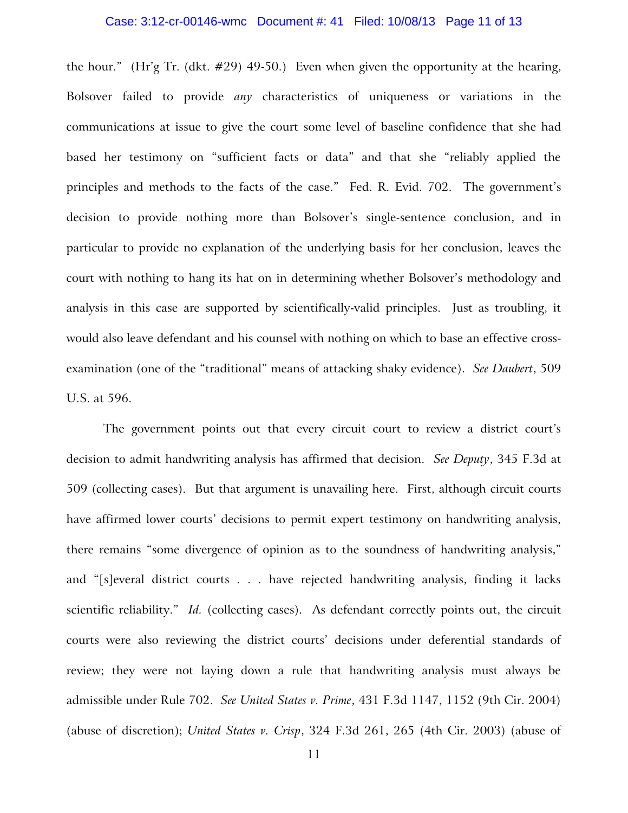#### Case: 3:12-cr-00146-wmc Document #: 41 Filed: 10/08/13 Page 11 of 13

the hour." (Hr'g Tr. (dkt. #29) 49-50.) Even when given the opportunity at the hearing, Bolsover failed to provide *any* characteristics of uniqueness or variations in the communications at issue to give the court some level of baseline confidence that she had based her testimony on "sufficient facts or data" and that she "reliably applied the principles and methods to the facts of the case." Fed. R. Evid. 702. The government's decision to provide nothing more than Bolsover's single-sentence conclusion, and in particular to provide no explanation of the underlying basis for her conclusion, leaves the court with nothing to hang its hat on in determining whether Bolsover's methodology and analysis in this case are supported by scientifically-valid principles. Just as troubling, it would also leave defendant and his counsel with nothing on which to base an effective crossexamination (one of the "traditional" means of attacking shaky evidence). *See Daubert*, 509 U.S. at 596.

The government points out that every circuit court to review a district court's decision to admit handwriting analysis has affirmed that decision. *See Deputy*, 345 F.3d at 509 (collecting cases). But that argument is unavailing here. First, although circuit courts have affirmed lower courts' decisions to permit expert testimony on handwriting analysis, there remains "some divergence of opinion as to the soundness of handwriting analysis," and "[s]everal district courts . . . have rejected handwriting analysis, finding it lacks scientific reliability." *Id.* (collecting cases). As defendant correctly points out, the circuit courts were also reviewing the district courts' decisions under deferential standards of review; they were not laying down a rule that handwriting analysis must always be admissible under Rule 702. *See United States v. Prime*, 431 F.3d 1147, 1152 (9th Cir. 2004) (abuse of discretion); *United States v. Crisp*, 324 F.3d 261, 265 (4th Cir. 2003) (abuse of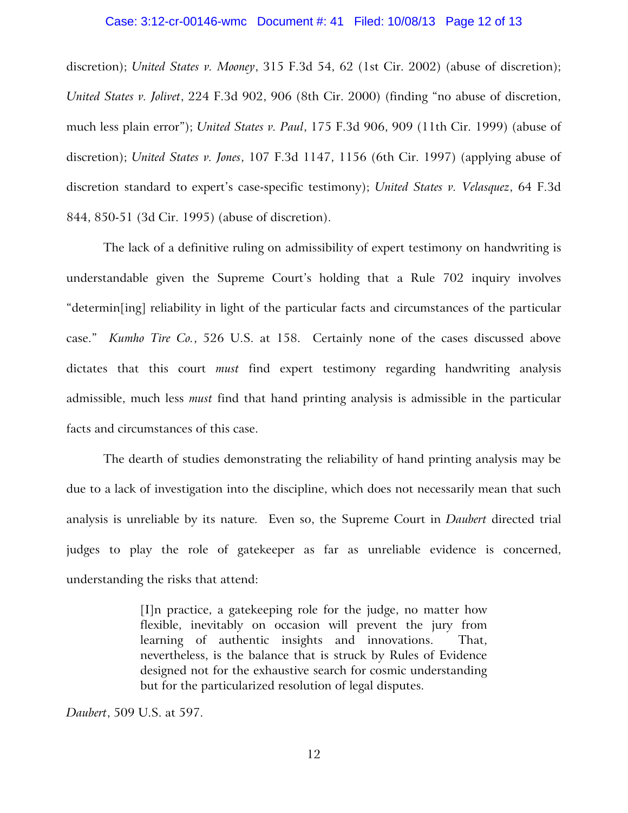#### Case: 3:12-cr-00146-wmc Document #: 41 Filed: 10/08/13 Page 12 of 13

discretion); *United States v. Mooney*, 315 F.3d 54, 62 (1st Cir. 2002) (abuse of discretion); *United States v. Jolivet*, 224 F.3d 902, 906 (8th Cir. 2000) (finding "no abuse of discretion, much less plain error"); *United States v. Paul*, 175 F.3d 906, 909 (11th Cir. 1999) (abuse of discretion); *United States v. Jones*, 107 F.3d 1147, 1156 (6th Cir. 1997) (applying abuse of discretion standard to expert's case-specific testimony); *United States v. Velasquez*, 64 F.3d 844, 850-51 (3d Cir. 1995) (abuse of discretion).

The lack of a definitive ruling on admissibility of expert testimony on handwriting is understandable given the Supreme Court's holding that a Rule 702 inquiry involves "determin[ing] reliability in light of the particular facts and circumstances of the particular case." *Kumho Tire Co.*, 526 U.S. at 158. Certainly none of the cases discussed above dictates that this court *must* find expert testimony regarding handwriting analysis admissible, much less *must* find that hand printing analysis is admissible in the particular facts and circumstances of this case.

The dearth of studies demonstrating the reliability of hand printing analysis may be due to a lack of investigation into the discipline, which does not necessarily mean that such analysis is unreliable by its nature*.* Even so, the Supreme Court in *Daubert* directed trial judges to play the role of gatekeeper as far as unreliable evidence is concerned, understanding the risks that attend:

> [I]n practice, a gatekeeping role for the judge, no matter how flexible, inevitably on occasion will prevent the jury from learning of authentic insights and innovations. That, nevertheless, is the balance that is struck by Rules of Evidence designed not for the exhaustive search for cosmic understanding but for the particularized resolution of legal disputes.

*Daubert*, 509 U.S. at 597.